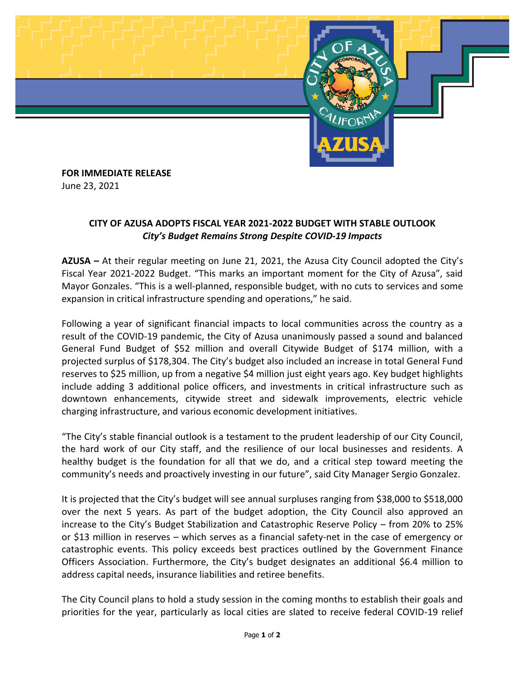

## **FOR IMMEDIATE RELEASE** June 23, 2021

## **CITY OF AZUSA ADOPTS FISCAL YEAR 2021-2022 BUDGET WITH STABLE OUTLOOK** *City's Budget Remains Strong Despite COVID-19 Impacts*

**AZUSA –** At their regular meeting on June 21, 2021, the Azusa City Council adopted the City's Fiscal Year 2021-2022 Budget. "This marks an important moment for the City of Azusa", said Mayor Gonzales. "This is a well-planned, responsible budget, with no cuts to services and some expansion in critical infrastructure spending and operations," he said.

Following a year of significant financial impacts to local communities across the country as a result of the COVID-19 pandemic, the City of Azusa unanimously passed a sound and balanced General Fund Budget of \$52 million and overall Citywide Budget of \$174 million, with a projected surplus of \$178,304. The City's budget also included an increase in total General Fund reserves to \$25 million, up from a negative \$4 million just eight years ago. Key budget highlights include adding 3 additional police officers, and investments in critical infrastructure such as downtown enhancements, citywide street and sidewalk improvements, electric vehicle charging infrastructure, and various economic development initiatives.

"The City's stable financial outlook is a testament to the prudent leadership of our City Council, the hard work of our City staff, and the resilience of our local businesses and residents. A healthy budget is the foundation for all that we do, and a critical step toward meeting the community's needs and proactively investing in our future", said City Manager Sergio Gonzalez.

It is projected that the City's budget will see annual surpluses ranging from \$38,000 to \$518,000 over the next 5 years. As part of the budget adoption, the City Council also approved an increase to the City's Budget Stabilization and Catastrophic Reserve Policy – from 20% to 25% or \$13 million in reserves – which serves as a financial safety-net in the case of emergency or catastrophic events. This policy exceeds best practices outlined by the Government Finance Officers Association. Furthermore, the City's budget designates an additional \$6.4 million to address capital needs, insurance liabilities and retiree benefits.

The City Council plans to hold a study session in the coming months to establish their goals and priorities for the year, particularly as local cities are slated to receive federal COVID-19 relief